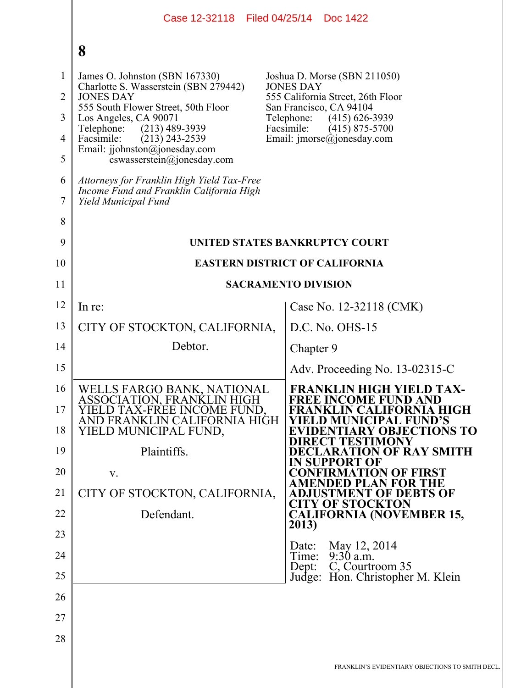|                                                                 | Case 12-32118 Filed 04/25/14                                                                                                                                                                                                                                                                                                                                 | Doc 1422                                                                                                                                                                                                           |  |  |
|-----------------------------------------------------------------|--------------------------------------------------------------------------------------------------------------------------------------------------------------------------------------------------------------------------------------------------------------------------------------------------------------------------------------------------------------|--------------------------------------------------------------------------------------------------------------------------------------------------------------------------------------------------------------------|--|--|
|                                                                 | 8                                                                                                                                                                                                                                                                                                                                                            |                                                                                                                                                                                                                    |  |  |
| $\mathbf{1}$<br>$\overline{2}$<br>3<br>$\overline{4}$<br>5<br>6 | James O. Johnston (SBN 167330)<br>Charlotte S. Wasserstein (SBN 279442)<br><b>JONES DAY</b><br>555 South Flower Street, 50th Floor<br>Los Angeles, CA 90071<br>$(213)$ 489-3939<br>Telephone:<br>Facsimile:<br>$(213)$ 243-2539<br>Email: jjohnston@jonesday.com<br>$coswasserstein(\widehat{a})$ ionesday.com<br>Attorneys for Franklin High Yield Tax-Free | Joshua D. Morse (SBN 211050)<br><b>JONES DAY</b><br>555 California Street, 26th Floor<br>San Francisco, CA 94104<br>Telephone:<br>$(415)$ 626-3939<br>Facsimile:<br>$(415)$ 875-5700<br>Email: imorse@jonesday.com |  |  |
| 7                                                               | Income Fund and Franklin California High<br>Yield Municipal Fund                                                                                                                                                                                                                                                                                             |                                                                                                                                                                                                                    |  |  |
| 8                                                               |                                                                                                                                                                                                                                                                                                                                                              |                                                                                                                                                                                                                    |  |  |
| 9                                                               | UNITED STATES BANKRUPTCY COURT                                                                                                                                                                                                                                                                                                                               |                                                                                                                                                                                                                    |  |  |
| 10                                                              |                                                                                                                                                                                                                                                                                                                                                              | <b>EASTERN DISTRICT OF CALIFORNIA</b>                                                                                                                                                                              |  |  |
| 11                                                              |                                                                                                                                                                                                                                                                                                                                                              | <b>SACRAMENTO DIVISION</b>                                                                                                                                                                                         |  |  |
| 12                                                              | In re:                                                                                                                                                                                                                                                                                                                                                       | Case No. 12-32118 (CMK)                                                                                                                                                                                            |  |  |
| 13                                                              | CITY OF STOCKTON, CALIFORNIA,                                                                                                                                                                                                                                                                                                                                | $D.C. No. OHS-15$                                                                                                                                                                                                  |  |  |
| 14                                                              | Debtor.                                                                                                                                                                                                                                                                                                                                                      | Chapter 9                                                                                                                                                                                                          |  |  |
| 15                                                              |                                                                                                                                                                                                                                                                                                                                                              | Adv. Proceeding No. 13-02315-C                                                                                                                                                                                     |  |  |
| 16<br>17<br>18                                                  | WELLS FARGO BANK, NATIONAL<br>ASSOCIATION, FRANKLIN HIGH<br>YIELD TAX-FREE INCOME FUND.<br>AND FRANKLIN CALIFORNIA HIGH<br>YIELD MUNICIPAL FUND,                                                                                                                                                                                                             | <b>FRANKLIN HIGH YIELD TAX-</b><br><b>FREE INCOME FUND AND</b><br>FRANKLIN CALIFORNIA HIGH<br>YIELD MUNICIPAL FUND'S<br><b>EVIDENTIARY OBJECTIONS TO</b><br><b>DIRECT TESTIMONY</b>                                |  |  |
| 19                                                              | Plaintiffs.                                                                                                                                                                                                                                                                                                                                                  | <b>DECLARATION OF RAY SMITH</b><br><b>IN SUPPORT OF</b>                                                                                                                                                            |  |  |
| 20<br>21                                                        | V.<br>CITY OF STOCKTON, CALIFORNIA,                                                                                                                                                                                                                                                                                                                          | <b>CONFIRMATION OF FIRST</b><br><b>AMENDED PLAN FOR THE</b><br><b>ADJUSTMENT OF DEBTS OF</b>                                                                                                                       |  |  |
| 22                                                              | Defendant.                                                                                                                                                                                                                                                                                                                                                   | <b>CITY OF STOCKTON</b><br><b>CALIFORNIA (NOVEMBER 15,</b>                                                                                                                                                         |  |  |
| 23                                                              |                                                                                                                                                                                                                                                                                                                                                              | 2013)                                                                                                                                                                                                              |  |  |
| 24                                                              |                                                                                                                                                                                                                                                                                                                                                              | May 12, 2014<br>Date:<br>Time: 9:30 a.m.                                                                                                                                                                           |  |  |
| 25                                                              |                                                                                                                                                                                                                                                                                                                                                              | C, Courtroom 35<br>Dept:<br>Judge: Hon. Christopher M. Klein                                                                                                                                                       |  |  |
| 26                                                              |                                                                                                                                                                                                                                                                                                                                                              |                                                                                                                                                                                                                    |  |  |
| 27                                                              |                                                                                                                                                                                                                                                                                                                                                              |                                                                                                                                                                                                                    |  |  |
| 28                                                              |                                                                                                                                                                                                                                                                                                                                                              |                                                                                                                                                                                                                    |  |  |
|                                                                 |                                                                                                                                                                                                                                                                                                                                                              | FRANKLIN'S EVIDENTIARY OBJECTIONS TO SMITH DECL                                                                                                                                                                    |  |  |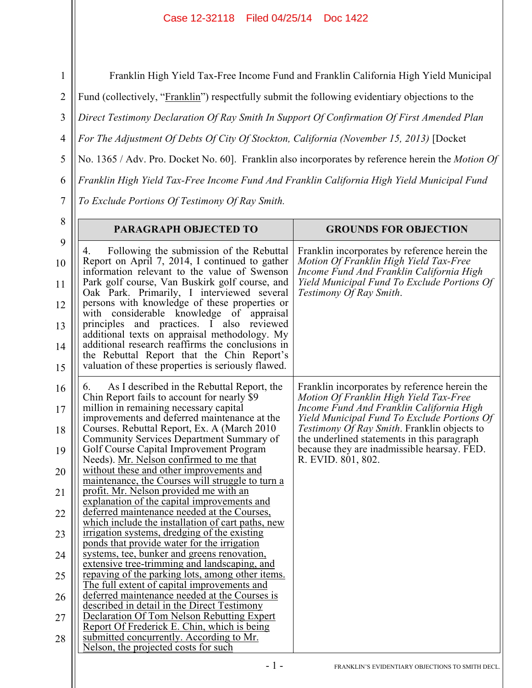Franklin High Yield Tax-Free Income Fund and Franklin California High Yield Municipal

Fund (collectively, "Franklin") respectfully submit the following evidentiary objections to the

3 *Direct Testimony Declaration Of Ray Smith In Support Of Confirmation Of First Amended Plan* 

4 *For The Adjustment Of Debts Of City Of Stockton, California (November 15, 2013)* [Docket

5 No. 1365 / Adv. Pro. Docket No. 60]. Franklin also incorporates by reference herein the *Motion Of* 

6 *Franklin High Yield Tax-Free Income Fund And Franklin California High Yield Municipal Fund* 

*To Exclude Portions Of Testimony Of Ray Smith.* 

1

2

7  $\sim$ 

| Ō                                     | PARAGRAPH OBJECTED TO                                                                                                                                                                                                                                                                                                                                                                                                                                                                                                                                                                                  | <b>GROUNDS FOR OBJECTION</b>                                                                                                                                                                                  |  |  |  |
|---------------------------------------|--------------------------------------------------------------------------------------------------------------------------------------------------------------------------------------------------------------------------------------------------------------------------------------------------------------------------------------------------------------------------------------------------------------------------------------------------------------------------------------------------------------------------------------------------------------------------------------------------------|---------------------------------------------------------------------------------------------------------------------------------------------------------------------------------------------------------------|--|--|--|
| 9<br>10<br>11<br>12<br>13<br>14<br>15 | Following the submission of the Rebuttal<br>4.<br>Report on April 7, 2014, I continued to gather<br>information relevant to the value of Swenson<br>Park golf course, Van Buskirk golf course, and<br>Oak Park. Primarily, I interviewed several<br>persons with knowledge of these properties or<br>with considerable knowledge of appraisal<br>principles and practices. I also<br>reviewed<br>additional texts on appraisal methodology. My<br>additional research reaffirms the conclusions in<br>the Rebuttal Report that the Chin Report's<br>valuation of these properties is seriously flawed. | Franklin incorporates by reference herein the<br>Motion Of Franklin High Yield Tax-Free<br>Income Fund And Franklin California High<br>Yield Municipal Fund To Exclude Portions Of<br>Testimony Of Ray Smith. |  |  |  |
| 16                                    | As I described in the Rebuttal Report, the<br>6.<br>Chin Report fails to account for nearly \$9                                                                                                                                                                                                                                                                                                                                                                                                                                                                                                        | Franklin incorporates by reference herein the<br>Motion Of Franklin High Yield Tax-Free                                                                                                                       |  |  |  |
| 17                                    | million in remaining necessary capital<br>improvements and deferred maintenance at the                                                                                                                                                                                                                                                                                                                                                                                                                                                                                                                 | Income Fund And Franklin California High<br>Yield Municipal Fund To Exclude Portions Of                                                                                                                       |  |  |  |
| 18                                    | Courses. Rebuttal Report, Ex. A (March 2010)<br>Community Services Department Summary of                                                                                                                                                                                                                                                                                                                                                                                                                                                                                                               | Testimony Of Ray Smith. Franklin objects to<br>the underlined statements in this paragraph                                                                                                                    |  |  |  |
| 19                                    | Golf Course Capital Improvement Program<br>Needs). Mr. Nelson confirmed to me that                                                                                                                                                                                                                                                                                                                                                                                                                                                                                                                     | because they are inadmissible hearsay. FED.<br>R. EVID. 801, 802.                                                                                                                                             |  |  |  |
| 20                                    | without these and other improvements and<br>maintenance, the Courses will struggle to turn a                                                                                                                                                                                                                                                                                                                                                                                                                                                                                                           |                                                                                                                                                                                                               |  |  |  |
| 21                                    | profit. Mr. Nelson provided me with an<br>explanation of the capital improvements and                                                                                                                                                                                                                                                                                                                                                                                                                                                                                                                  |                                                                                                                                                                                                               |  |  |  |
| 22                                    | deferred maintenance needed at the Courses,<br>which include the installation of cart paths, new                                                                                                                                                                                                                                                                                                                                                                                                                                                                                                       |                                                                                                                                                                                                               |  |  |  |
| 23                                    | irrigation systems, dredging of the existing<br>ponds that provide water for the irrigation                                                                                                                                                                                                                                                                                                                                                                                                                                                                                                            |                                                                                                                                                                                                               |  |  |  |
| 24                                    | systems, tee, bunker and greens renovation,<br>extensive tree-trimming and landscaping, and                                                                                                                                                                                                                                                                                                                                                                                                                                                                                                            |                                                                                                                                                                                                               |  |  |  |
| 25                                    | repaving of the parking lots, among other items.<br>The full extent of capital improvements and                                                                                                                                                                                                                                                                                                                                                                                                                                                                                                        |                                                                                                                                                                                                               |  |  |  |
| 26                                    | deferred maintenance needed at the Courses is<br>described in detail in the Direct Testimony                                                                                                                                                                                                                                                                                                                                                                                                                                                                                                           |                                                                                                                                                                                                               |  |  |  |
| 27                                    | Declaration Of Tom Nelson Rebutting Expert                                                                                                                                                                                                                                                                                                                                                                                                                                                                                                                                                             |                                                                                                                                                                                                               |  |  |  |
| 28                                    | Report Of Frederick E. Chin, which is being<br>submitted concurrently. According to Mr.<br>Nelson, the projected costs for such                                                                                                                                                                                                                                                                                                                                                                                                                                                                        |                                                                                                                                                                                                               |  |  |  |
|                                       | - 1 -                                                                                                                                                                                                                                                                                                                                                                                                                                                                                                                                                                                                  | FRANKLIN'S EVIDENTIARY OBJECTIONS TO SMITH DECL                                                                                                                                                               |  |  |  |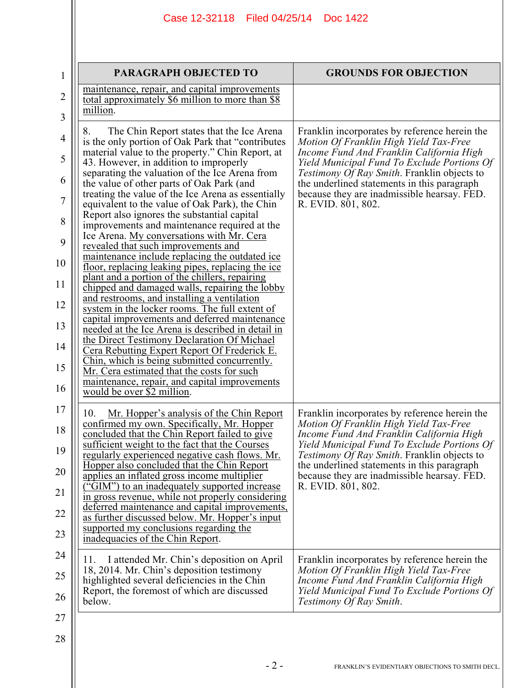| 1              | <b>PARAGRAPH OBJECTED TO</b>                                                                          | <b>GROUNDS FOR OBJECTION</b>                                                                      |  |  |  |  |
|----------------|-------------------------------------------------------------------------------------------------------|---------------------------------------------------------------------------------------------------|--|--|--|--|
| $\overline{2}$ | maintenance, repair, and capital improvements<br>total approximately \$6 million to more than \$8     |                                                                                                   |  |  |  |  |
| 3              | million.                                                                                              |                                                                                                   |  |  |  |  |
| $\overline{4}$ | The Chin Report states that the Ice Arena<br>8.<br>is the only portion of Oak Park that "contributes" | Franklin incorporates by reference herein the<br>Motion Of Franklin High Yield Tax-Free           |  |  |  |  |
| 5              | material value to the property." Chin Report, at<br>43. However, in addition to improperly            | Income Fund And Franklin California High<br>Yield Municipal Fund To Exclude Portions Of           |  |  |  |  |
| 6              | separating the valuation of the Ice Arena from<br>the value of other parts of Oak Park (and           | Testimony Of Ray Smith. Franklin objects to<br>the underlined statements in this paragraph        |  |  |  |  |
| 7              | treating the value of the Ice Arena as essentially<br>equivalent to the value of Oak Park), the Chin  | because they are inadmissible hearsay. FED.<br>R. EVID. 801, 802.                                 |  |  |  |  |
| 8              | Report also ignores the substantial capital<br>improvements and maintenance required at the           |                                                                                                   |  |  |  |  |
| 9              | Ice Arena. My conversations with Mr. Cera<br>revealed that such improvements and                      |                                                                                                   |  |  |  |  |
| 10             | maintenance include replacing the outdated ice<br>floor, replacing leaking pipes, replacing the ice   |                                                                                                   |  |  |  |  |
| 11             | plant and a portion of the chillers, repairing<br>chipped and damaged walls, repairing the lobby      |                                                                                                   |  |  |  |  |
| 12             | and restrooms, and installing a ventilation<br>system in the locker rooms. The full extent of         |                                                                                                   |  |  |  |  |
| 13             | capital improvements and deferred maintenance<br>needed at the Ice Arena is described in detail in    |                                                                                                   |  |  |  |  |
| 14             | the Direct Testimony Declaration Of Michael<br><u>Cera Rebutting Expert Report Of Frederick E.</u>    |                                                                                                   |  |  |  |  |
| 15             | Chin, which is being submitted concurrently.<br>Mr. Cera estimated that the costs for such            |                                                                                                   |  |  |  |  |
| 16             | maintenance, repair, and capital improvements<br>would be over \$2 million.                           |                                                                                                   |  |  |  |  |
| 17             | 10.<br><u>Mr. Hopper's analysis of the Chin Report</u>                                                | Franklin incorporates by reference herein the                                                     |  |  |  |  |
| 18             | confirmed my own. Specifically, Mr. Hopper<br>concluded that the Chin Report failed to give           | Motion Of Franklin High Yield Tax-Free<br>Income Fund And Franklin California High                |  |  |  |  |
| 19             | sufficient weight to the fact that the Courses<br>regularly experienced negative cash flows. Mr.      | Yield Municipal Fund To Exclude Portions Of<br><i>Testimony Of Ray Smith.</i> Franklin objects to |  |  |  |  |
| 20             | Hopper also concluded that the Chin Report<br>applies an inflated gross income multiplier             | the underlined statements in this paragraph<br>because they are inadmissible hearsay. FED.        |  |  |  |  |
| 21             | ("GIM") to an inadequately supported increase<br>in gross revenue, while not properly considering     | R. EVID. 801, 802.                                                                                |  |  |  |  |
| 22             | deferred maintenance and capital improvements,<br>as further discussed below. Mr. Hopper's input      |                                                                                                   |  |  |  |  |
| 23             | supported my conclusions regarding the<br>inadequacies of the Chin Report.                            |                                                                                                   |  |  |  |  |
| 24             | I attended Mr. Chin's deposition on April<br>11.                                                      | Franklin incorporates by reference herein the                                                     |  |  |  |  |
| 25             | 18, 2014. Mr. Chin's deposition testimony<br>highlighted several deficiencies in the Chin             | Motion Of Franklin High Yield Tax-Free<br>Income Fund And Franklin California High                |  |  |  |  |
| 26             | Report, the foremost of which are discussed<br>below.                                                 | Yield Municipal Fund To Exclude Portions Of<br>Testimony Of Ray Smith.                            |  |  |  |  |
| 27             |                                                                                                       |                                                                                                   |  |  |  |  |
| 28             |                                                                                                       |                                                                                                   |  |  |  |  |
|                |                                                                                                       |                                                                                                   |  |  |  |  |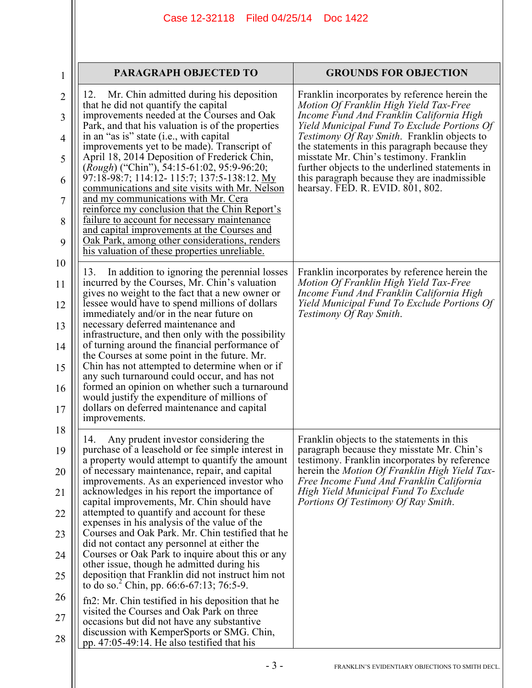| $\mathbf{1}$        | PARAGRAPH OBJECTED TO                                                                                                                            | <b>GROUNDS FOR OBJECTION</b>                                                                                                                |  |  |
|---------------------|--------------------------------------------------------------------------------------------------------------------------------------------------|---------------------------------------------------------------------------------------------------------------------------------------------|--|--|
| $\overline{2}$<br>3 | Mr. Chin admitted during his deposition<br>12.<br>that he did not quantify the capital<br>improvements needed at the Courses and Oak             | Franklin incorporates by reference herein the<br>Motion Of Franklin High Yield Tax-Free<br>Income Fund And Franklin California High         |  |  |
| $\overline{4}$      | Park, and that his valuation is of the properties<br>in an "as is" state (i.e., with capital                                                     | Yield Municipal Fund To Exclude Portions Of<br>Testimony Of Ray Smith. Franklin objects to                                                  |  |  |
| 5                   | improvements yet to be made). Transcript of<br>April 18, 2014 Deposition of Frederick Chin,<br>(Rough) ("Chin"), 54:15-61:02, 95:9-96:20;        | the statements in this paragraph because they<br>misstate Mr. Chin's testimony. Franklin<br>further objects to the underlined statements in |  |  |
| 6                   | 97:18-98:7; 114:12- 115:7; 137:5-138:12. My<br>communications and site visits with Mr. Nelson<br>and my communications with Mr. Cera             | this paragraph because they are inadmissible<br>hearsay. FED. R. EVID. 801, 802.                                                            |  |  |
| 7<br>8              | reinforce my conclusion that the Chin Report's<br>failure to account for necessary maintenance                                                   |                                                                                                                                             |  |  |
| 9                   | and capital improvements at the Courses and<br>Oak Park, among other considerations, renders<br>his valuation of these properties unreliable.    |                                                                                                                                             |  |  |
| 10                  | In addition to ignoring the perennial losses<br>13.                                                                                              | Franklin incorporates by reference herein the                                                                                               |  |  |
| 11                  | incurred by the Courses, Mr. Chin's valuation<br>gives no weight to the fact that a new owner or                                                 | Motion Of Franklin High Yield Tax-Free<br>Income Fund And Franklin California High                                                          |  |  |
| 12                  | lessee would have to spend millions of dollars<br>immediately and/or in the near future on                                                       | Yield Municipal Fund To Exclude Portions Of<br>Testimony Of Ray Smith.                                                                      |  |  |
| 13                  | necessary deferred maintenance and<br>infrastructure, and then only with the possibility                                                         |                                                                                                                                             |  |  |
| 14                  | of turning around the financial performance of<br>the Courses at some point in the future. Mr.                                                   |                                                                                                                                             |  |  |
| 15<br>16            | Chin has not attempted to determine when or if<br>any such turnaround could occur, and has not<br>formed an opinion on whether such a turnaround |                                                                                                                                             |  |  |
| 17                  | would justify the expenditure of millions of<br>dollars on deferred maintenance and capital                                                      |                                                                                                                                             |  |  |
| 18                  | improvements.                                                                                                                                    |                                                                                                                                             |  |  |
| 19                  | Any prudent investor considering the<br>14.<br>purchase of a leasehold or fee simple interest in                                                 | Franklin objects to the statements in this<br>paragraph because they misstate Mr. Chin's                                                    |  |  |
| 20                  | a property would attempt to quantify the amount<br>of necessary maintenance, repair, and capital<br>improvements. As an experienced investor who | testimony. Franklin incorporates by reference<br>herein the Motion Of Franklin High Yield Tax-<br>Free Income Fund And Franklin California  |  |  |
| 21                  | acknowledges in his report the importance of<br>capital improvements, Mr. Chin should have                                                       | High Yield Municipal Fund To Exclude<br>Portions Of Testimony Of Ray Smith.                                                                 |  |  |
| 22                  | attempted to quantify and account for these<br>expenses in his analysis of the value of the                                                      |                                                                                                                                             |  |  |
| 23                  | Courses and Oak Park. Mr. Chin testified that he<br>did not contact any personnel at either the                                                  |                                                                                                                                             |  |  |
| 24                  | Courses or Oak Park to inquire about this or any<br>other issue, though he admitted during his                                                   |                                                                                                                                             |  |  |
| 25                  | deposition that Franklin did not instruct him not<br>to do so. <sup>2</sup> Chin, pp. 66:6-67:13; 76:5-9.                                        |                                                                                                                                             |  |  |
| 26                  | fn2: Mr. Chin testified in his deposition that he<br>visited the Courses and Oak Park on three                                                   |                                                                                                                                             |  |  |
| 27                  | occasions but did not have any substantive<br>discussion with KemperSports or SMG. Chin,                                                         |                                                                                                                                             |  |  |
| 28                  | pp. $47:05-49:14$ . He also testified that his                                                                                                   |                                                                                                                                             |  |  |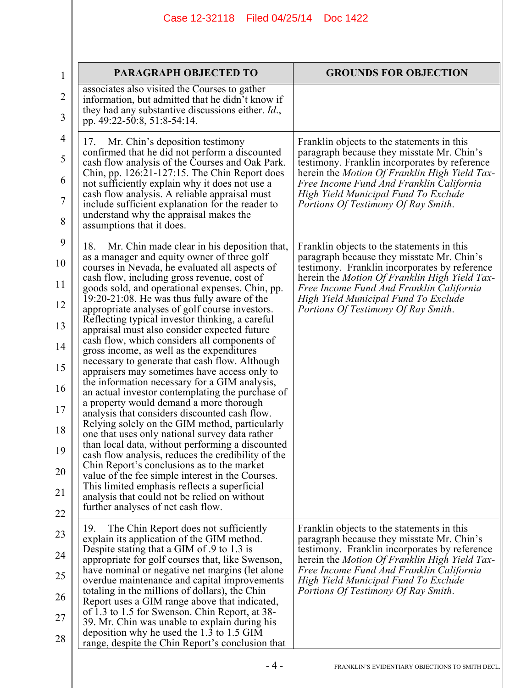| Case 12-32118 Filed 04/25/14<br>Doc 1422 |                                                                                                                                                                                                                                                                                                                                                                                                                                                                                                                                                                                                                                                                                                                                                                                                                                                                                                                                                                                                                                                                                                                                                                                                                                                                                                                    |                                                                                                                                                                                                                                                                                                                       |  |  |
|------------------------------------------|--------------------------------------------------------------------------------------------------------------------------------------------------------------------------------------------------------------------------------------------------------------------------------------------------------------------------------------------------------------------------------------------------------------------------------------------------------------------------------------------------------------------------------------------------------------------------------------------------------------------------------------------------------------------------------------------------------------------------------------------------------------------------------------------------------------------------------------------------------------------------------------------------------------------------------------------------------------------------------------------------------------------------------------------------------------------------------------------------------------------------------------------------------------------------------------------------------------------------------------------------------------------------------------------------------------------|-----------------------------------------------------------------------------------------------------------------------------------------------------------------------------------------------------------------------------------------------------------------------------------------------------------------------|--|--|
|                                          | PARAGRAPH OBJECTED TO                                                                                                                                                                                                                                                                                                                                                                                                                                                                                                                                                                                                                                                                                                                                                                                                                                                                                                                                                                                                                                                                                                                                                                                                                                                                                              | <b>GROUNDS FOR OBJECTION</b>                                                                                                                                                                                                                                                                                          |  |  |
|                                          | associates also visited the Courses to gather<br>information, but admitted that he didn't know if<br>they had any substantive discussions either. <i>Id.</i> ,<br>pp. 49:22-50:8, 51:8-54:14.                                                                                                                                                                                                                                                                                                                                                                                                                                                                                                                                                                                                                                                                                                                                                                                                                                                                                                                                                                                                                                                                                                                      |                                                                                                                                                                                                                                                                                                                       |  |  |
|                                          | Mr. Chin's deposition testimony<br>17.<br>confirmed that he did not perform a discounted<br>cash flow analysis of the Courses and Oak Park.<br>Chin, pp. 126:21-127:15. The Chin Report does<br>not sufficiently explain why it does not use a<br>cash flow analysis. A reliable appraisal must<br>include sufficient explanation for the reader to<br>understand why the appraisal makes the<br>assumptions that it does.                                                                                                                                                                                                                                                                                                                                                                                                                                                                                                                                                                                                                                                                                                                                                                                                                                                                                         | Franklin objects to the statements in this<br>paragraph because they misstate Mr. Chin's<br>testimony. Franklin incorporates by reference<br>herein the Motion Of Franklin High Yield Tax-<br>Free Income Fund And Franklin California<br>High Yield Municipal Fund To Exclude<br>Portions Of Testimony Of Ray Smith. |  |  |
|                                          | 18.<br>Mr. Chin made clear in his deposition that,<br>as a manager and equity owner of three golf<br>courses in Nevada, he evaluated all aspects of<br>cash flow, including gross revenue, cost of<br>goods sold, and operational expenses. Chin, pp.<br>$19:20-21:08$ . He was thus fully aware of the<br>appropriate analyses of golf course investors.<br>Reflecting typical investor thinking, a careful<br>appraisal must also consider expected future<br>cash flow, which considers all components of<br>gross income, as well as the expenditures<br>necessary to generate that cash flow. Although<br>appraisers may sometimes have access only to<br>the information necessary for a GIM analysis,<br>an actual investor contemplating the purchase of<br>a property would demand a more thorough<br>analysis that considers discounted cash flow.<br>Relying solely on the GIM method, particularly<br>one that uses only national survey data rather<br>than local data, without performing a discounted<br>cash flow analysis, reduces the credibility of the<br>Chin Report's conclusions as to the market<br>value of the fee simple interest in the Courses.<br>This limited emphasis reflects a superficial<br>analysis that could not be relied on without<br>further analyses of net cash flow. | Franklin objects to the statements in this<br>paragraph because they misstate Mr. Chin's<br>testimony. Franklin incorporates by reference<br>herein the Motion Of Franklin High Yield Tax-<br>Free Income Fund And Franklin California<br>High Yield Municipal Fund To Exclude<br>Portions Of Testimony Of Ray Smith. |  |  |
|                                          | The Chin Report does not sufficiently<br>19.<br>explain its application of the GIM method.<br>Despite stating that a GIM of .9 to 1.3 is<br>appropriate for golf courses that, like Swenson,<br>have nominal or negative net margins (let alone<br>overdue maintenance and capital improvements<br>totaling in the millions of dollars), the Chin<br>Report uses a GIM range above that indicated,<br>of 1.3 to 1.5 for Swenson. Chin Report, at 38-<br>39. Mr. Chin was unable to explain during his<br>deposition why he used the 1.3 to 1.5 GIM<br>range, despite the Chin Report's conclusion that                                                                                                                                                                                                                                                                                                                                                                                                                                                                                                                                                                                                                                                                                                             | Franklin objects to the statements in this<br>paragraph because they misstate Mr. Chin's<br>testimony. Franklin incorporates by reference<br>herein the Motion Of Franklin High Yield Tax-<br>Free Income Fund And Franklin California<br>High Yield Municipal Fund To Exclude<br>Portions Of Testimony Of Ray Smith. |  |  |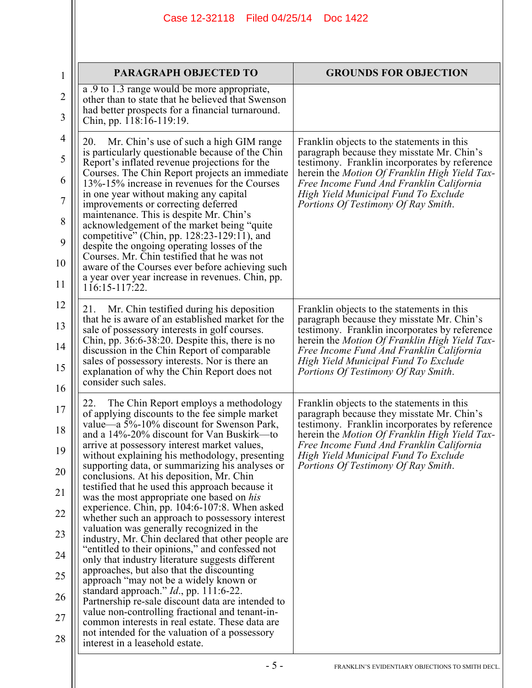| Case 12-32118   Filed 04/25/14<br>Doc 1422                                                                                                                                                                                                                                                                                                                                                                                                                                                                                                                                                                                                                                                                                                                                                                                                                                                                                                                                                                                                                                                                                                              |                                                                                                                                                                                                                                                                                                                       |  |  |  |  |
|---------------------------------------------------------------------------------------------------------------------------------------------------------------------------------------------------------------------------------------------------------------------------------------------------------------------------------------------------------------------------------------------------------------------------------------------------------------------------------------------------------------------------------------------------------------------------------------------------------------------------------------------------------------------------------------------------------------------------------------------------------------------------------------------------------------------------------------------------------------------------------------------------------------------------------------------------------------------------------------------------------------------------------------------------------------------------------------------------------------------------------------------------------|-----------------------------------------------------------------------------------------------------------------------------------------------------------------------------------------------------------------------------------------------------------------------------------------------------------------------|--|--|--|--|
|                                                                                                                                                                                                                                                                                                                                                                                                                                                                                                                                                                                                                                                                                                                                                                                                                                                                                                                                                                                                                                                                                                                                                         |                                                                                                                                                                                                                                                                                                                       |  |  |  |  |
|                                                                                                                                                                                                                                                                                                                                                                                                                                                                                                                                                                                                                                                                                                                                                                                                                                                                                                                                                                                                                                                                                                                                                         | <b>GROUNDS FOR OBJECTION</b>                                                                                                                                                                                                                                                                                          |  |  |  |  |
| other than to state that he believed that Swenson<br>had better prospects for a financial turnaround.<br>Chin, pp. 118:16-119:19.                                                                                                                                                                                                                                                                                                                                                                                                                                                                                                                                                                                                                                                                                                                                                                                                                                                                                                                                                                                                                       |                                                                                                                                                                                                                                                                                                                       |  |  |  |  |
| 20.<br>Mr. Chin's use of such a high GIM range<br>is particularly questionable because of the Chin<br>Report's inflated revenue projections for the<br>Courses. The Chin Report projects an immediate<br>13%-15% increase in revenues for the Courses<br>in one year without making any capital<br>improvements or correcting deferred<br>maintenance. This is despite Mr. Chin's<br>acknowledgement of the market being "quite"<br>competitive" (Chin, pp. 128:23-129:11), and<br>despite the ongoing operating losses of the<br>Courses. Mr. Chin testified that he was not<br>aware of the Courses ever before achieving such<br>a year over year increase in revenues. Chin, pp.<br>$116:15-117:22$                                                                                                                                                                                                                                                                                                                                                                                                                                                 | Franklin objects to the statements in this<br>paragraph because they misstate Mr. Chin's<br>testimony. Franklin incorporates by reference<br>herein the Motion Of Franklin High Yield Tax-<br>Free Income Fund And Franklin California<br>High Yield Municipal Fund To Exclude<br>Portions Of Testimony Of Ray Smith. |  |  |  |  |
| Mr. Chin testified during his deposition<br>21.<br>that he is aware of an established market for the<br>sale of possessory interests in golf courses.<br>Chin, pp. $36:6-38:20$ . Despite this, there is no<br>discussion in the Chin Report of comparable<br>sales of possessory interests. Nor is there an<br>explanation of why the Chin Report does not<br>consider such sales.                                                                                                                                                                                                                                                                                                                                                                                                                                                                                                                                                                                                                                                                                                                                                                     | Franklin objects to the statements in this<br>paragraph because they misstate Mr. Chin's<br>testimony. Franklin incorporates by reference<br>herein the Motion Of Franklin High Yield Tax-<br>Free Income Fund And Franklin California<br>High Yield Municipal Fund To Exclude<br>Portions Of Testimony Of Ray Smith. |  |  |  |  |
| The Chin Report employs a methodology<br>22.<br>of applying discounts to the fee simple market<br>value—a 5%-10% discount for Swenson Park,<br>and a 14%-20% discount for Van Buskirk-to<br>arrive at possessory interest market values,<br>without explaining his methodology, presenting<br>supporting data, or summarizing his analyses or<br>conclusions. At his deposition, Mr. Chin<br>testified that he used this approach because it<br>was the most appropriate one based on his<br>experience. Chin, pp. 104:6-107:8. When asked<br>whether such an approach to possessory interest<br>valuation was generally recognized in the<br>industry, Mr. Chin declared that other people are<br>"entitled to their opinions," and confessed not<br>only that industry literature suggests different<br>approaches, but also that the discounting<br>approach "may not be a widely known or<br>standard approach." $Id.$ , pp. 111:6-22.<br>Partnership re-sale discount data are intended to<br>value non-controlling fractional and tenant-in-<br>common interests in real estate. These data are<br>not intended for the valuation of a possessory | Franklin objects to the statements in this<br>paragraph because they misstate Mr. Chin's<br>testimony. Franklin incorporates by reference<br>herein the Motion Of Franklin High Yield Tax-<br>Free Income Fund And Franklin California<br>High Yield Municipal Fund To Exclude<br>Portions Of Testimony Of Ray Smith. |  |  |  |  |
|                                                                                                                                                                                                                                                                                                                                                                                                                                                                                                                                                                                                                                                                                                                                                                                                                                                                                                                                                                                                                                                                                                                                                         | PARAGRAPH OBJECTED TO<br>a .9 to 1.3 range would be more appropriate,<br>interest in a leasehold estate.                                                                                                                                                                                                              |  |  |  |  |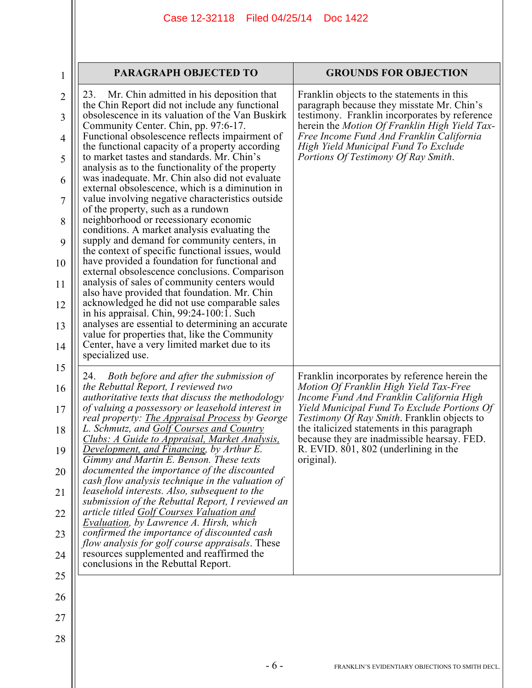| PARAGRAPH OBJECTED TO<br>1            |                                                                                                                                                                                                                                                                                                    | <b>GROUNDS FOR OBJECTION</b>                                                                                                                                                                                                                                                           |
|---------------------------------------|----------------------------------------------------------------------------------------------------------------------------------------------------------------------------------------------------------------------------------------------------------------------------------------------------|----------------------------------------------------------------------------------------------------------------------------------------------------------------------------------------------------------------------------------------------------------------------------------------|
| $\overline{2}$<br>3<br>$\overline{4}$ | Mr. Chin admitted in his deposition that<br>23.<br>the Chin Report did not include any functional<br>obsolescence in its valuation of the Van Buskirk<br>Community Center. Chin, pp. 97:6-17.<br>Functional obsolescence reflects impairment of<br>the functional capacity of a property according | Franklin objects to the statements in this<br>paragraph because they misstate Mr. Chin's<br>testimony. Franklin incorporates by reference<br>herein the <i>Motion Of Franklin High Yield Tax</i> -<br>Free Income Fund And Franklin California<br>High Yield Municipal Fund To Exclude |
| 5                                     | to market tastes and standards. Mr. Chin's<br>analysis as to the functionality of the property                                                                                                                                                                                                     | Portions Of Testimony Of Ray Smith.                                                                                                                                                                                                                                                    |
| 6                                     | was inadequate. Mr. Chin also did not evaluate<br>external obsolescence, which is a diminution in                                                                                                                                                                                                  |                                                                                                                                                                                                                                                                                        |
| 7<br>8                                | value involving negative characteristics outside<br>of the property, such as a rundown<br>neighborhood or recessionary economic                                                                                                                                                                    |                                                                                                                                                                                                                                                                                        |
| 9                                     | conditions. A market analysis evaluating the<br>supply and demand for community centers, in                                                                                                                                                                                                        |                                                                                                                                                                                                                                                                                        |
| 10                                    | the context of specific functional issues, would<br>have provided a foundation for functional and                                                                                                                                                                                                  |                                                                                                                                                                                                                                                                                        |
| 11                                    | external obsolescence conclusions. Comparison<br>analysis of sales of community centers would                                                                                                                                                                                                      |                                                                                                                                                                                                                                                                                        |
| 12                                    | also have provided that foundation. Mr. Chin<br>acknowledged he did not use comparable sales<br>in his appraisal. Chin, 99:24-100:1. Such                                                                                                                                                          |                                                                                                                                                                                                                                                                                        |
| 13                                    | analyses are essential to determining an accurate<br>value for properties that, like the Community                                                                                                                                                                                                 |                                                                                                                                                                                                                                                                                        |
| 14                                    | Center, have a very limited market due to its<br>specialized use.                                                                                                                                                                                                                                  |                                                                                                                                                                                                                                                                                        |
| 15<br>16                              | 24. Both before and after the submission of<br>the Rebuttal Report, I reviewed two<br>authoritative texts that discuss the methodology                                                                                                                                                             | Franklin incorporates by reference herein the<br>Motion Of Franklin High Yield Tax-Free<br>Income Fund And Franklin California High                                                                                                                                                    |
| 17                                    | of valuing a possessory or leasehold interest in<br>real property: <b>The Appraisal Process</b> by George                                                                                                                                                                                          | Yield Municipal Fund To Exclude Portions Of<br><i>Testimony Of Ray Smith.</i> Franklin objects to                                                                                                                                                                                      |
| 18<br>19                              | L. Schmutz, and Golf Courses and Country<br><u>Clubs: A Guide to Appraisal, Market Analysis,</u><br><b>Development, and Financing, by Arthur E</b>                                                                                                                                                 | the italicized statements in this paragraph<br>because they are inadmissible hearsay. FED.<br>R. EVID. 801, 802 (underlining in the                                                                                                                                                    |
| 20                                    | Gimmy and Martin E. Benson. These texts<br>documented the importance of the discounted                                                                                                                                                                                                             | original).                                                                                                                                                                                                                                                                             |
| 21                                    | cash flow analysis technique in the valuation of<br>leasehold interests. Also, subsequent to the                                                                                                                                                                                                   |                                                                                                                                                                                                                                                                                        |
| 22                                    | submission of the Rebuttal Report, I reviewed an<br>article titled Golf Courses Valuation and                                                                                                                                                                                                      |                                                                                                                                                                                                                                                                                        |
| 23                                    | <b>Evaluation, by Lawrence A. Hirsh, which</b><br>confirmed the importance of discounted cash                                                                                                                                                                                                      |                                                                                                                                                                                                                                                                                        |
| 24                                    | <i>flow analysis for golf course appraisals.</i> These<br>resources supplemented and reaffirmed the<br>conclusions in the Rebuttal Report.                                                                                                                                                         |                                                                                                                                                                                                                                                                                        |
| 25                                    |                                                                                                                                                                                                                                                                                                    |                                                                                                                                                                                                                                                                                        |
| 26                                    |                                                                                                                                                                                                                                                                                                    |                                                                                                                                                                                                                                                                                        |
| 27                                    |                                                                                                                                                                                                                                                                                                    |                                                                                                                                                                                                                                                                                        |
| 28                                    |                                                                                                                                                                                                                                                                                                    |                                                                                                                                                                                                                                                                                        |
|                                       | $-6-$                                                                                                                                                                                                                                                                                              | FRANKLIN'S EVIDENTIARY OBJECTIONS TO SMITH DECL.                                                                                                                                                                                                                                       |